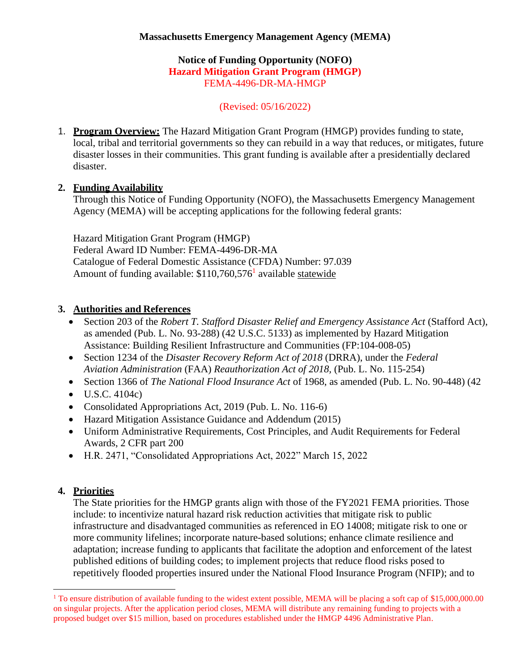#### **Notice of Funding Opportunity (NOFO) Hazard Mitigation Grant Program (HMGP)** FEMA-4496-DR-MA-HMGP

(Revised: 05/16/2022)

1. **Program Overview:** The Hazard Mitigation Grant Program (HMGP) provides funding to state, local, tribal and territorial governments so they can rebuild in a way that reduces, or mitigates, future disaster losses in their communities. This grant funding is available after a presidentially declared disaster.

## **2. Funding Availability**

Through this Notice of Funding Opportunity (NOFO), the Massachusetts Emergency Management Agency (MEMA) will be accepting applications for the following federal grants:

Hazard Mitigation Grant Program (HMGP) Federal Award ID Number: FEMA-4496-DR-MA Catalogue of Federal Domestic Assistance (CFDA) Number: 97.039 Amount of funding available: \$110,760,576<sup>1</sup> available statewide

## **3. Authorities and References**

- Section 203 of the *Robert T. Stafford Disaster Relief and Emergency Assistance Act* (Stafford Act), as amended (Pub. L. No. 93-288) (42 U.S.C. 5133) as implemented by Hazard Mitigation Assistance: Building Resilient Infrastructure and Communities (FP:104-008-05)
- Section 1234 of the *Disaster Recovery Reform Act of 2018* (DRRA), under the *Federal Aviation Administration* (FAA) *Reauthorization Act of 2018,* (Pub. L. No. 115-254)
- Section 1366 of *The National Flood Insurance Act* of 1968, as amended (Pub. L. No. 90-448) (42
- $\bullet$  U.S.C. 4104c)
- Consolidated Appropriations Act, 2019 (Pub. L. No. 116-6)
- Hazard Mitigation Assistance Guidance and Addendum (2015)
- Uniform Administrative Requirements, Cost Principles, and Audit Requirements for Federal Awards, 2 CFR part 200
- H.R. 2471, "Consolidated Appropriations Act, 2022" March 15, 2022

## **4. Priorities**

The State priorities for the HMGP grants align with those of the FY2021 FEMA priorities. Those include: to incentivize natural hazard risk reduction activities that mitigate risk to public infrastructure and disadvantaged communities as referenced in EO 14008; mitigate risk to one or more community lifelines; incorporate nature-based solutions; enhance climate resilience and adaptation; increase funding to applicants that facilitate the adoption and enforcement of the latest published editions of building codes; to implement projects that reduce flood risks posed to repetitively flooded properties insured under the National Flood Insurance Program (NFIP); and to

<sup>&</sup>lt;sup>1</sup> To ensure distribution of available funding to the widest extent possible, MEMA will be placing a soft cap of \$15,000,000.00 on singular projects. After the application period closes, MEMA will distribute any remaining funding to projects with a proposed budget over \$15 million, based on procedures established under the HMGP 4496 Administrative Plan.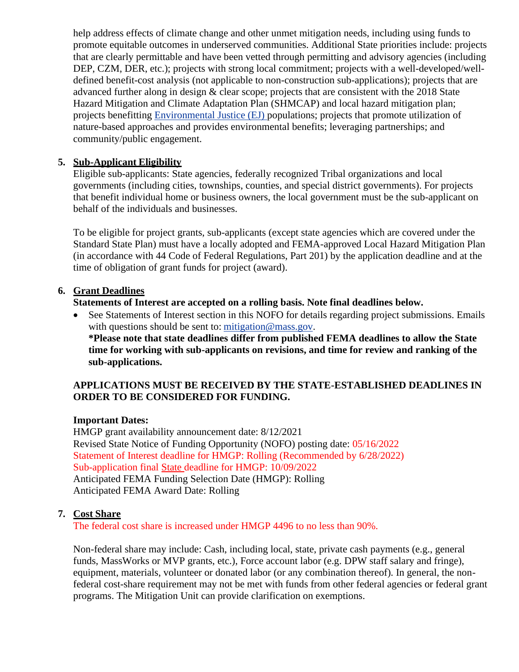help address effects of climate change and other unmet mitigation needs, including using funds to promote equitable outcomes in underserved communities. Additional State priorities include: projects that are clearly permittable and have been vetted through permitting and advisory agencies (including DEP, CZM, DER, etc.); projects with strong local commitment; projects with a well-developed/welldefined benefit-cost analysis (not applicable to non-construction sub-applications); projects that are advanced further along in design & clear scope; projects that are consistent with the 2018 State Hazard Mitigation and Climate Adaptation Plan (SHMCAP) and local hazard mitigation plan; projects benefitting [Environmental Justice \(EJ\) p](https://www.mass.gov/environmental-justice)opulations; projects that promote utilization of nature-based approaches and provides environmental benefits; leveraging partnerships; and community/public engagement.

## **5. Sub-Applicant Eligibility**

Eligible sub-applicants: State agencies, federally recognized Tribal organizations and local governments (including cities, townships, counties, and special district governments). For projects that benefit individual home or business owners, the local government must be the sub-applicant on behalf of the individuals and businesses.

To be eligible for project grants, sub-applicants (except state agencies which are covered under the Standard State Plan) must have a locally adopted and FEMA-approved Local Hazard Mitigation Plan (in accordance with 44 Code of Federal Regulations, Part 201) by the application deadline and at the time of obligation of grant funds for project (award).

## **6. Grant Deadlines**

**Statements of Interest are accepted on a rolling basis. Note final deadlines below.**

See Statements of Interest section in this NOFO for details regarding project submissions. Emails with questions should be sent to: [mitigation@mass.gov.](mailto:mitigation@mass.gov) **\*Please note that state deadlines differ from published FEMA deadlines to allow the State time for working with sub-applicants on revisions, and time for review and ranking of the sub-applications.**

## **APPLICATIONS MUST BE RECEIVED BY THE STATE-ESTABLISHED DEADLINES IN ORDER TO BE CONSIDERED FOR FUNDING.**

## **Important Dates:**

HMGP grant availability announcement date: 8/12/2021 Revised State Notice of Funding Opportunity (NOFO) posting date: 05/16/2022 Statement of Interest deadline for HMGP: Rolling (Recommended by 6/28/2022) Sub-application final State deadline for HMGP: 10/09/2022 Anticipated FEMA Funding Selection Date (HMGP): Rolling Anticipated FEMA Award Date: Rolling

## **7. Cost Share**

The federal cost share is increased under HMGP 4496 to no less than 90%.

Non-federal share may include: Cash, including local, state, private cash payments (e.g., general funds, MassWorks or MVP grants, etc.), Force account labor (e.g. DPW staff salary and fringe), equipment, materials, volunteer or donated labor (or any combination thereof). In general, the nonfederal cost-share requirement may not be met with funds from other federal agencies or federal grant programs. The Mitigation Unit can provide clarification on exemptions.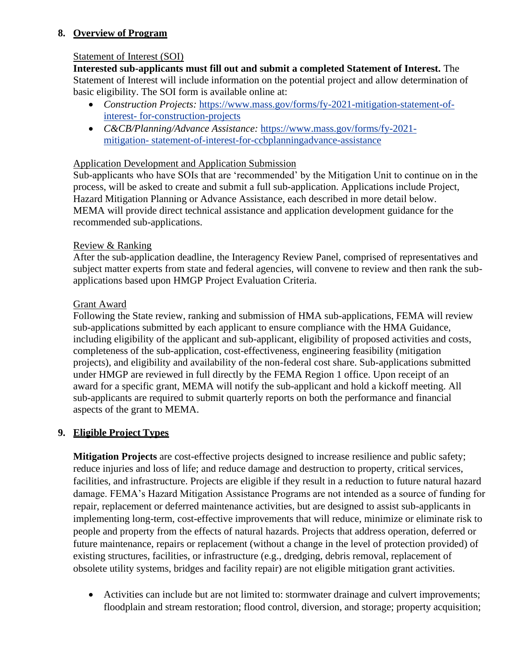## **8. Overview of Program**

## Statement of Interest (SOI)

**Interested sub-applicants must fill out and submit a completed Statement of Interest.** The Statement of Interest will include information on the potential project and allow determination of basic eligibility. The SOI form is available online at:

- *Construction Projects:* [https://www.mass.gov/forms/fy-2021-mitigation-statement-of](https://www.mass.gov/forms/fy-2021-mitigation-statement-of-interest-for-construction-projects)[interest-](https://www.mass.gov/forms/fy-2021-mitigation-statement-of-interest-for-construction-projects) [for-construction-projects](https://www.mass.gov/forms/fy-2021-mitigation-statement-of-interest-for-construction-projects)
- *C&CB/Planning/Advance Assistance:* [https://www.mass.gov/forms/fy-2021](https://www.mass.gov/forms/fy-2021-mitigation-statement-of-interest-for-ccbplanningadvance-assistance) [mitigation-](https://www.mass.gov/forms/fy-2021-mitigation-statement-of-interest-for-ccbplanningadvance-assistance) [statement-of-interest-for-ccbplanningadvance-assistance](https://www.mass.gov/forms/fy-2021-mitigation-statement-of-interest-for-ccbplanningadvance-assistance)

## Application Development and Application Submission

Sub-applicants who have SOIs that are 'recommended' by the Mitigation Unit to continue on in the process, will be asked to create and submit a full sub-application. Applications include Project, Hazard Mitigation Planning or Advance Assistance, each described in more detail below. MEMA will provide direct technical assistance and application development guidance for the recommended sub-applications.

## Review & Ranking

After the sub-application deadline, the Interagency Review Panel, comprised of representatives and subject matter experts from state and federal agencies, will convene to review and then rank the subapplications based upon HMGP Project Evaluation Criteria.

## Grant Award

Following the State review, ranking and submission of HMA sub-applications, FEMA will review sub-applications submitted by each applicant to ensure compliance with the HMA Guidance, including eligibility of the applicant and sub-applicant, eligibility of proposed activities and costs, completeness of the sub-application, cost-effectiveness, engineering feasibility (mitigation projects), and eligibility and availability of the non-federal cost share. Sub-applications submitted under HMGP are reviewed in full directly by the FEMA Region 1 office. Upon receipt of an award for a specific grant, MEMA will notify the sub-applicant and hold a kickoff meeting. All sub-applicants are required to submit quarterly reports on both the performance and financial aspects of the grant to MEMA.

## **9. Eligible Project Types**

**Mitigation Projects** are cost-effective projects designed to increase resilience and public safety; reduce injuries and loss of life; and reduce damage and destruction to property, critical services, facilities, and infrastructure. Projects are eligible if they result in a reduction to future natural hazard damage. FEMA's Hazard Mitigation Assistance Programs are not intended as a source of funding for repair, replacement or deferred maintenance activities, but are designed to assist sub-applicants in implementing long-term, cost-effective improvements that will reduce, minimize or eliminate risk to people and property from the effects of natural hazards. Projects that address operation, deferred or future maintenance, repairs or replacement (without a change in the level of protection provided) of existing structures, facilities, or infrastructure (e.g., dredging, debris removal, replacement of obsolete utility systems, bridges and facility repair) are not eligible mitigation grant activities.

• Activities can include but are not limited to: stormwater drainage and culvert improvements; floodplain and stream restoration; flood control, diversion, and storage; property acquisition;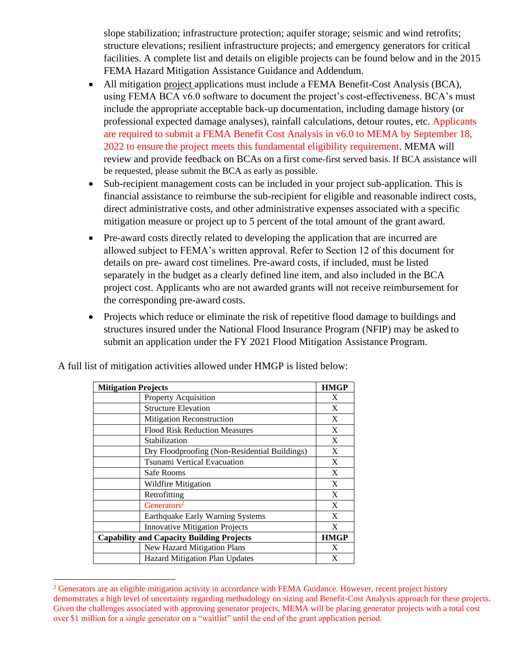slope stabilization; infrastructure protection; aquifer storage; seismic and wind retrofits; structure elevations; resilient infrastructure projects; and emergency generators for critical facilities. A complete list and details on eligible projects can be found below and in the 2015 FEMA Hazard Mitigation Assistance Guidance and Addendum.

- All mitigation project applications must include a FEMA Benefit-Cost Analysis (BCA), using FEMA BCA v6.0 software to document the project's cost-effectiveness. BCA's must include the appropriate acceptable back-up documentation, including damage history (or professional expected damage analyses), rainfall calculations, detour routes, etc. Applicants are required to submit a FEMA Benefit Cost Analysis in v6.0 to MEMA by September 18, 2022 to ensure the project meets this fundamental eligibility requirement. MEMA will review and provide feedback on BCAs on a first come-first served basis. If BCA assistance will be requested, please submit the BCA as early as possible.
- Sub-recipient management costs can be included in your project sub-application. This is financial assistance to reimburse the sub-recipient for eligible and reasonable indirect costs, direct administrative costs, and other administrative expenses associated with a specific mitigation measure or project up to 5 percent of the total amount of the grant award.
- Pre-award costs directly related to developing the application that are incurred are allowed subject to FEMA's written approval. Refer to Section 12 of this document for details on pre- award cost timelines. Pre-award costs, if included, must be listed separately in the budget as a clearly defined line item, and also included in the BCA project cost. Applicants who are not awarded grants will not receive reimbursement for the corresponding pre-award costs.
- Projects which reduce or eliminate the risk of repetitive flood damage to buildings and structures insured under the National Flood Insurance Program (NFIP) may be asked to submit an application under the FY 2021 Flood Mitigation Assistance Program.

| <b>Mitigation Projects</b>                       |                                               | <b>HMGP</b> |
|--------------------------------------------------|-----------------------------------------------|-------------|
|                                                  | <b>Property Acquisition</b>                   | X           |
|                                                  | <b>Structure Elevation</b>                    | X           |
|                                                  | <b>Mitigation Reconstruction</b>              | X           |
|                                                  | <b>Flood Risk Reduction Measures</b>          | X           |
|                                                  | Stabilization                                 | X           |
|                                                  | Dry Floodproofing (Non-Residential Buildings) | X           |
|                                                  | Tsunami Vertical Evacuation                   | X           |
|                                                  | Safe Rooms                                    | X           |
|                                                  | Wildfire Mitigation                           | X           |
|                                                  | Retrofitting                                  | X           |
|                                                  | Generators <sup>2</sup>                       | X           |
|                                                  | Earthquake Early Warning Systems              | X           |
|                                                  | <b>Innovative Mitigation Projects</b>         | X           |
| <b>Capability and Capacity Building Projects</b> |                                               |             |
|                                                  | New Hazard Mitigation Plans                   | X           |
|                                                  | Hazard Mitigation Plan Updates                | X           |

A full list of mitigation activities allowed under HMGP is listed below:

<sup>&</sup>lt;sup>2</sup> Generators are an eligible mitigation activity in accordance with FEMA Guidance. However, recent project history demonstrates a high level of uncertainty regarding methodology on sizing and Benefit-Cost Analysis approach for these projects. Given the challenges associated with approving generator projects, MEMA will be placing generator projects with a total cost over \$1 million for a single generator on a "waitlist" until the end of the grant application period.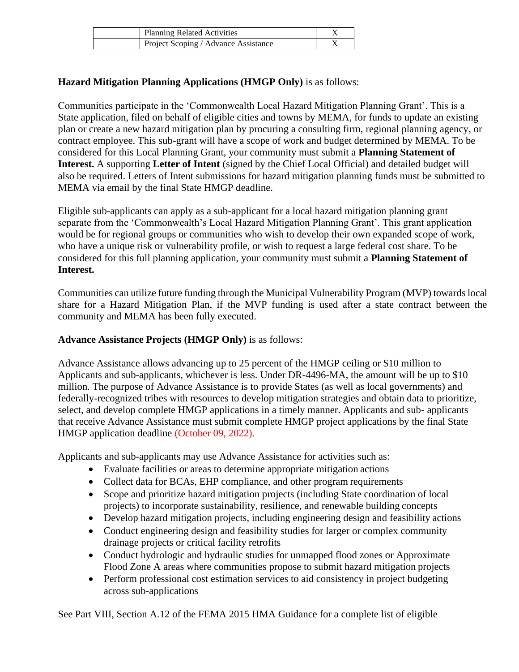| <b>Planning Related Activities</b>   |  |
|--------------------------------------|--|
| Project Scoping / Advance Assistance |  |

## **Hazard Mitigation Planning Applications (HMGP Only)** is as follows:

Communities participate in the 'Commonwealth Local Hazard Mitigation Planning Grant'. This is a State application, filed on behalf of eligible cities and towns by MEMA, for funds to update an existing plan or create a new hazard mitigation plan by procuring a consulting firm, regional planning agency, or contract employee. This sub-grant will have a scope of work and budget determined by MEMA. To be considered for this Local Planning Grant, your community must submit a **Planning Statement of Interest.** A supporting **Letter of Intent** (signed by the Chief Local Official) and detailed budget will also be required. Letters of Intent submissions for hazard mitigation planning funds must be submitted to MEMA via email by the final State HMGP deadline.

Eligible sub-applicants can apply as a sub-applicant for a local hazard mitigation planning grant separate from the 'Commonwealth's Local Hazard Mitigation Planning Grant'. This grant application would be for regional groups or communities who wish to develop their own expanded scope of work, who have a unique risk or vulnerability profile, or wish to request a large federal cost share. To be considered for this full planning application, your community must submit a **Planning Statement of Interest.**

Communities can utilize future funding through the Municipal Vulnerability Program (MVP) towards local share for a Hazard Mitigation Plan, if the MVP funding is used after a state contract between the community and MEMA has been fully executed.

## **Advance Assistance Projects (HMGP Only)** is as follows:

Advance Assistance allows advancing up to 25 percent of the HMGP ceiling or \$10 million to Applicants and sub-applicants, whichever is less. Under DR-4496-MA, the amount will be up to \$10 million. The purpose of Advance Assistance is to provide States (as well as local governments) and federally-recognized tribes with resources to develop mitigation strategies and obtain data to prioritize, select, and develop complete HMGP applications in a timely manner. Applicants and sub- applicants that receive Advance Assistance must submit complete HMGP project applications by the final State HMGP application deadline (October 09, 2022).

Applicants and sub-applicants may use Advance Assistance for activities such as:

- Evaluate facilities or areas to determine appropriate mitigation actions
- Collect data for BCAs, EHP compliance, and other program requirements
- Scope and prioritize hazard mitigation projects (including State coordination of local projects) to incorporate sustainability, resilience, and renewable building concepts
- Develop hazard mitigation projects, including engineering design and feasibility actions
- Conduct engineering design and feasibility studies for larger or complex community drainage projects or critical facility retrofits
- Conduct hydrologic and hydraulic studies for unmapped flood zones or Approximate Flood Zone A areas where communities propose to submit hazard mitigation projects
- Perform professional cost estimation services to aid consistency in project budgeting across sub-applications

See Part VIII, Section A.12 of the FEMA 2015 HMA Guidance for a complete list of eligible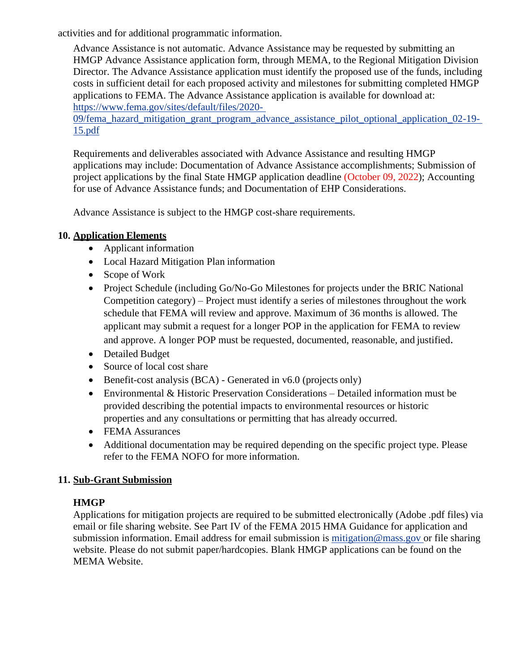activities and for additional programmatic information.

Advance Assistance is not automatic. Advance Assistance may be requested by submitting an HMGP Advance Assistance application form, through MEMA, to the Regional Mitigation Division Director. The Advance Assistance application must identify the proposed use of the funds, including costs in sufficient detail for each proposed activity and milestones for submitting completed HMGP applications to FEMA. The Advance Assistance application is available for download at: [https://www.fema.gov/sites/default/files/2020-](https://www.fema.gov/sites/default/files/2020-09/fema_hazard_mitigation_grant_program_advance_assistance_pilot_optional_application_02-19-15.pdf)

[09/fema\\_hazard\\_mitigation\\_grant\\_program\\_advance\\_assistance\\_pilot\\_optional\\_application\\_02-19-](https://www.fema.gov/sites/default/files/2020-09/fema_hazard_mitigation_grant_program_advance_assistance_pilot_optional_application_02-19-15.pdf) [15.pdf](https://www.fema.gov/sites/default/files/2020-09/fema_hazard_mitigation_grant_program_advance_assistance_pilot_optional_application_02-19-15.pdf)

Requirements and deliverables associated with Advance Assistance and resulting HMGP applications may include: Documentation of Advance Assistance accomplishments; Submission of project applications by the final State HMGP application deadline (October 09, 2022); Accounting for use of Advance Assistance funds; and Documentation of EHP Considerations.

Advance Assistance is subject to the HMGP cost-share requirements.

## **10. Application Elements**

- Applicant information
- Local Hazard Mitigation Plan information
- Scope of Work
- Project Schedule (including Go/No-Go Milestones for projects under the BRIC National Competition category) – Project must identify a series of milestones throughout the work schedule that FEMA will review and approve. Maximum of 36 months is allowed. The applicant may submit a request for a longer POP in the application for FEMA to review and approve. A longer POP must be requested, documented, reasonable, and justified.
- Detailed Budget
- Source of local cost share
- Benefit-cost analysis (BCA) Generated in v6.0 (projects only)
- Environmental & Historic Preservation Considerations Detailed information must be provided describing the potential impacts to environmental resources or historic properties and any consultations or permitting that has already occurred.
- FEMA Assurances
- Additional documentation may be required depending on the specific project type. Please refer to the FEMA NOFO for more information.

## **11. Sub-Grant Submission**

## **HMGP**

Applications for mitigation projects are required to be submitted electronically (Adobe .pdf files) via email or file sharing website. See Part IV of the FEMA 2015 HMA Guidance for application and submission information. Email address for email submission is [mitigation@mass.gov](mailto:mitigation@mass.gov) or file sharing website. Please do not submit paper/hardcopies. Blank HMGP applications can be found on the MEMA Website.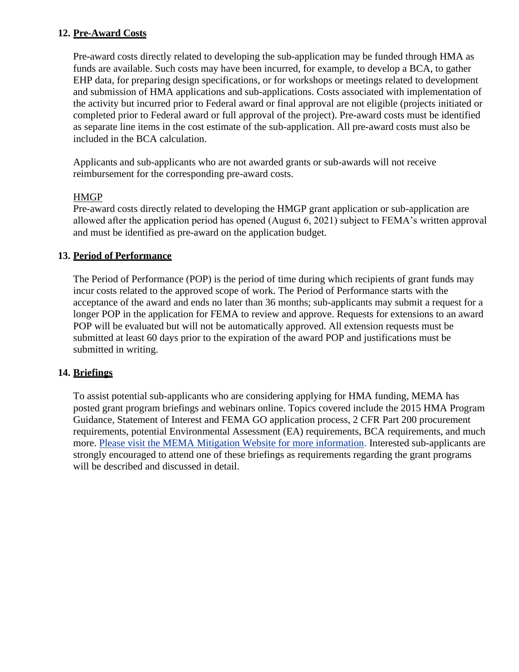#### **12. Pre-Award Costs**

Pre-award costs directly related to developing the sub-application may be funded through HMA as funds are available. Such costs may have been incurred, for example, to develop a BCA, to gather EHP data, for preparing design specifications, or for workshops or meetings related to development and submission of HMA applications and sub-applications. Costs associated with implementation of the activity but incurred prior to Federal award or final approval are not eligible (projects initiated or completed prior to Federal award or full approval of the project). Pre-award costs must be identified as separate line items in the cost estimate of the sub-application. All pre-award costs must also be included in the BCA calculation.

Applicants and sub-applicants who are not awarded grants or sub-awards will not receive reimbursement for the corresponding pre-award costs.

#### HMGP

Pre-award costs directly related to developing the HMGP grant application or sub-application are allowed after the application period has opened (August 6, 2021) subject to FEMA's written approval and must be identified as pre-award on the application budget.

## **13. Period of Performance**

The Period of Performance (POP) is the period of time during which recipients of grant funds may incur costs related to the approved scope of work. The Period of Performance starts with the acceptance of the award and ends no later than 36 months; sub-applicants may submit a request for a longer POP in the application for FEMA to review and approve. Requests for extensions to an award POP will be evaluated but will not be automatically approved. All extension requests must be submitted at least 60 days prior to the expiration of the award POP and justifications must be submitted in writing.

## **14. Briefings**

To assist potential sub-applicants who are considering applying for HMA funding, MEMA has posted grant program briefings and webinars online. Topics covered include the 2015 HMA Program Guidance, Statement of Interest and FEMA GO application process, 2 CFR Part 200 procurement requirements, potential Environmental Assessment (EA) requirements, BCA requirements, and much more. [Please](https://www.mass.gov/hazard-mitigation-assistance-hma-grant-programs) [visit the MEMA Mitigation Website for more information.](https://www.mass.gov/hazard-mitigation-assistance-hma-grant-programs) Interested sub-applicants are strongly encouraged to attend one of these briefings as requirements regarding the grant programs will be described and discussed in detail.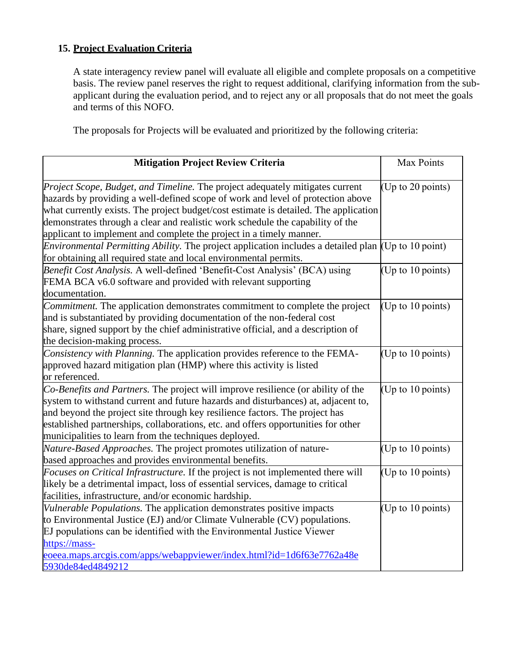# **15. Project Evaluation Criteria**

A state interagency review panel will evaluate all eligible and complete proposals on a competitive basis. The review panel reserves the right to request additional, clarifying information from the subapplicant during the evaluation period, and to reject any or all proposals that do not meet the goals and terms of this NOFO.

The proposals for Projects will be evaluated and prioritized by the following criteria:

| <b>Mitigation Project Review Criteria</b>                                                                                                                                                                                                                                                                                                                                                                                | Max Points          |
|--------------------------------------------------------------------------------------------------------------------------------------------------------------------------------------------------------------------------------------------------------------------------------------------------------------------------------------------------------------------------------------------------------------------------|---------------------|
| <i>Project Scope, Budget, and Timeline. The project adequately mitigates current</i><br>hazards by providing a well-defined scope of work and level of protection above<br>what currently exists. The project budget/cost estimate is detailed. The application<br>demonstrates through a clear and realistic work schedule the capability of the<br>applicant to implement and complete the project in a timely manner. | (Up to 20 points)   |
| <i>Environmental Permitting Ability.</i> The project application includes a detailed plan (Up to 10 point)<br>for obtaining all required state and local environmental permits.                                                                                                                                                                                                                                          |                     |
| Benefit Cost Analysis. A well-defined 'Benefit-Cost Analysis' (BCA) using<br>FEMA BCA v6.0 software and provided with relevant supporting<br>documentation.                                                                                                                                                                                                                                                              | (Up to 10 points)   |
| Commitment. The application demonstrates commitment to complete the project<br>and is substantiated by providing documentation of the non-federal cost<br>share, signed support by the chief administrative official, and a description of<br>the decision-making process.                                                                                                                                               | (Up to 10 points)   |
| Consistency with Planning. The application provides reference to the FEMA-<br>approved hazard mitigation plan (HMP) where this activity is listed<br>or referenced.                                                                                                                                                                                                                                                      | (Up to 10 points)   |
| Co-Benefits and Partners. The project will improve resilience (or ability of the<br>system to withstand current and future hazards and disturbances) at, adjacent to,<br>and beyond the project site through key resilience factors. The project has<br>established partnerships, collaborations, etc. and offers opportunities for other<br>municipalities to learn from the techniques deployed.                       | (Up to 10 points)   |
| Nature-Based Approaches. The project promotes utilization of nature-<br>based approaches and provides environmental benefits.                                                                                                                                                                                                                                                                                            | (Up to 10 points)   |
| Focuses on Critical Infrastructure. If the project is not implemented there will<br>likely be a detrimental impact, loss of essential services, damage to critical<br>facilities, infrastructure, and/or economic hardship.                                                                                                                                                                                              | (Up to 10 points)   |
| Vulnerable Populations. The application demonstrates positive impacts<br>to Environmental Justice (EJ) and/or Climate Vulnerable (CV) populations.<br>EJ populations can be identified with the Environmental Justice Viewer<br>https://mass-<br>eoeea.maps.arcgis.com/apps/webappviewer/index.html?id=1d6f63e7762a48e<br>5930de84ed4849212                                                                              | (Up to $10$ points) |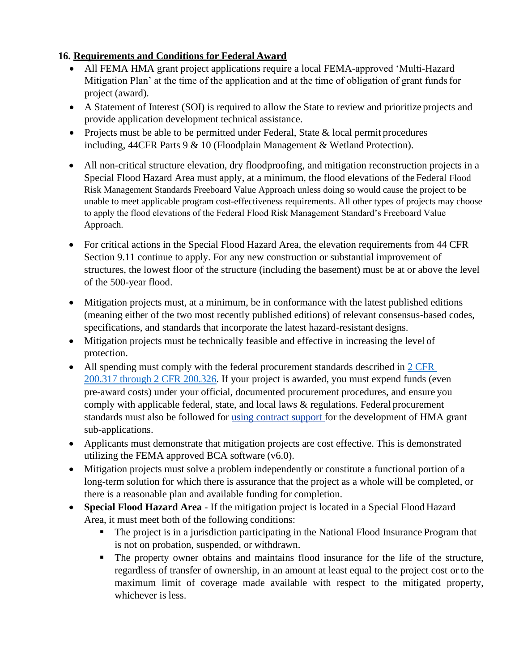# **16. Requirements and Conditions for Federal Award**

- All FEMA HMA grant project applications require a local FEMA-approved 'Multi-Hazard' Mitigation Plan' at the time of the application and at the time of obligation of grant funds for project (award).
- A Statement of Interest (SOI) is required to allow the State to review and prioritize projects and provide application development technical assistance.
- Projects must be able to be permitted under Federal, State & local permit procedures including, 44CFR Parts 9 & 10 (Floodplain Management & Wetland Protection).
- All non-critical structure elevation, dry floodproofing, and mitigation reconstruction projects in a Special Flood Hazard Area must apply, at a minimum, the flood elevations of the Federal Flood Risk Management Standards Freeboard Value Approach unless doing so would cause the project to be unable to meet applicable program cost-effectiveness requirements. All other types of projects may choose to apply the flood elevations of the Federal Flood Risk Management Standard's Freeboard Value Approach.
- For critical actions in the Special Flood Hazard Area, the elevation requirements from 44 CFR Section 9.11 continue to apply. For any new construction or substantial improvement of structures, the lowest floor of the structure (including the basement) must be at or above the level of the 500-year flood.
- Mitigation projects must, at a minimum, be in conformance with the latest published editions (meaning either of the two most recently published editions) of relevant consensus-based codes, specifications, and standards that incorporate the latest hazard-resistant designs.
- Mitigation projects must be technically feasible and effective in increasing the level of protection.
- All spending must comply with the federal procurement standards described in 2 CFR [200.317 through 2 CFR 200.326.](https://www.ecfr.gov/cgi-bin/text-idx?node=2%3A1.1.2.2.1.4.31&rgn=div7) If your project is awarded, you must expend funds (even pre-award costs) under your official, documented procurement procedures, and ensure you comply with applicable federal, state, and local laws & regulations. Federal procurement standards must also be followed for [using contract support f](https://www.mass.gov/doc/using-contract-support-for-the-development-of-hma-grant-applications/download)or the development of HMA grant sub-applications.
- Applicants must demonstrate that mitigation projects are cost effective. This is demonstrated utilizing the FEMA approved BCA software (v6.0).
- Mitigation projects must solve a problem independently or constitute a functional portion of a long-term solution for which there is assurance that the project as a whole will be completed, or there is a reasonable plan and available funding for completion.
- **Special Flood Hazard Area**  If the mitigation project is located in a Special Flood Hazard Area, it must meet both of the following conditions:
	- The project is in a jurisdiction participating in the National Flood Insurance Program that is not on probation, suspended, or withdrawn.
	- The property owner obtains and maintains flood insurance for the life of the structure, regardless of transfer of ownership, in an amount at least equal to the project cost or to the maximum limit of coverage made available with respect to the mitigated property, whichever is less.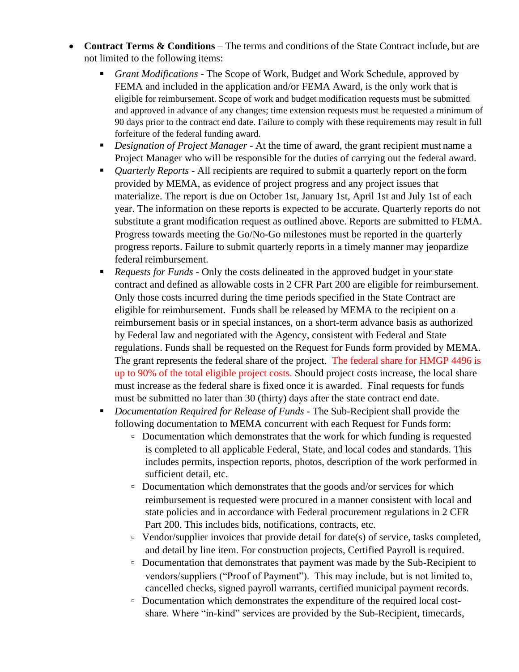- **Contract Terms & Conditions**  The terms and conditions of the State Contract include, but are not limited to the following items:
	- *Grant Modifications*  The Scope of Work, Budget and Work Schedule, approved by FEMA and included in the application and/or FEMA Award, is the only work that is eligible for reimbursement. Scope of work and budget modification requests must be submitted and approved in advance of any changes; time extension requests must be requested a minimum of 90 days prior to the contract end date. Failure to comply with these requirements may result in full forfeiture of the federal funding award.
	- *Designation of Project Manager -* At the time of award, the grant recipient must name a Project Manager who will be responsible for the duties of carrying out the federal award.
	- *Quarterly Reports* All recipients are required to submit a quarterly report on the form provided by MEMA, as evidence of project progress and any project issues that materialize. The report is due on October 1st, January 1st, April 1st and July 1st of each year. The information on these reports is expected to be accurate. Quarterly reports do not substitute a grant modification request as outlined above. Reports are submitted to FEMA. Progress towards meeting the Go/No-Go milestones must be reported in the quarterly progress reports. Failure to submit quarterly reports in a timely manner may jeopardize federal reimbursement.
	- *Requests for Funds* Only the costs delineated in the approved budget in your state contract and defined as allowable costs in 2 CFR Part 200 are eligible for reimbursement. Only those costs incurred during the time periods specified in the State Contract are eligible for reimbursement. Funds shall be released by MEMA to the recipient on a reimbursement basis or in special instances, on a short-term advance basis as authorized by Federal law and negotiated with the Agency, consistent with Federal and State regulations. Funds shall be requested on the Request for Funds form provided by MEMA. The grant represents the federal share of the project. The federal share for HMGP 4496 is up to 90% of the total eligible project costs. Should project costs increase, the local share must increase as the federal share is fixed once it is awarded. Final requests for funds must be submitted no later than 30 (thirty) days after the state contract end date.
	- *Documentation Required for Release of Funds* The Sub-Recipient shall provide the following documentation to MEMA concurrent with each Request for Funds form:
		- Documentation which demonstrates that the work for which funding is requested is completed to all applicable Federal, State, and local codes and standards. This includes permits, inspection reports, photos, description of the work performed in sufficient detail, etc.
		- □ Documentation which demonstrates that the goods and/or services for which reimbursement is requested were procured in a manner consistent with local and state policies and in accordance with Federal procurement regulations in 2 CFR Part 200. This includes bids, notifications, contracts, etc.
		- Vendor/supplier invoices that provide detail for date(s) of service, tasks completed, and detail by line item. For construction projects, Certified Payroll is required.
		- Documentation that demonstrates that payment was made by the Sub-Recipient to vendors/suppliers ("Proof of Payment"). This may include, but is not limited to, cancelled checks, signed payroll warrants, certified municipal payment records.
		- □ Documentation which demonstrates the expenditure of the required local costshare. Where "in-kind" services are provided by the Sub-Recipient, timecards,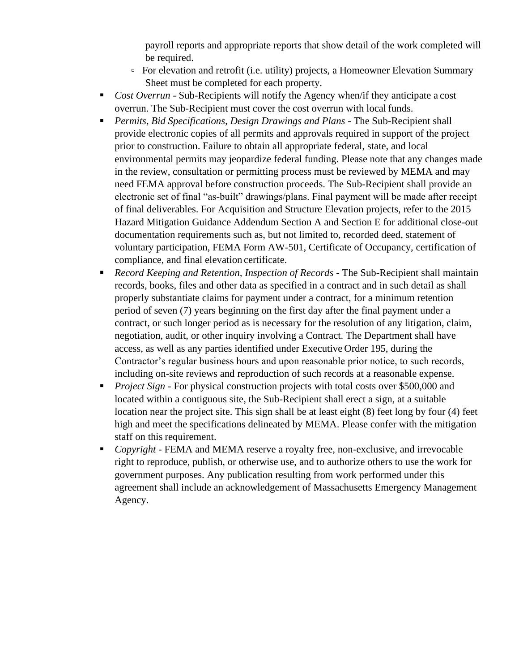payroll reports and appropriate reports that show detail of the work completed will be required.

- For elevation and retrofit (i.e. utility) projects, a Homeowner Elevation Summary Sheet must be completed for each property.
- *Cost Overrun* Sub-Recipients will notify the Agency when/if they anticipate a cost overrun. The Sub-Recipient must cover the cost overrun with local funds.
- *Permits, Bid Specifications, Design Drawings and Plans* The Sub-Recipient shall provide electronic copies of all permits and approvals required in support of the project prior to construction. Failure to obtain all appropriate federal, state, and local environmental permits may jeopardize federal funding. Please note that any changes made in the review, consultation or permitting process must be reviewed by MEMA and may need FEMA approval before construction proceeds. The Sub-Recipient shall provide an electronic set of final "as-built" drawings/plans. Final payment will be made after receipt of final deliverables. For Acquisition and Structure Elevation projects, refer to the 2015 Hazard Mitigation Guidance Addendum Section A and Section E for additional close-out documentation requirements such as, but not limited to, recorded deed, statement of voluntary participation, FEMA Form AW-501, Certificate of Occupancy, certification of compliance, and final elevation certificate.
- *Record Keeping and Retention, Inspection of Records* The Sub-Recipient shall maintain records, books, files and other data as specified in a contract and in such detail as shall properly substantiate claims for payment under a contract, for a minimum retention period of seven (7) years beginning on the first day after the final payment under a contract, or such longer period as is necessary for the resolution of any litigation, claim, negotiation, audit, or other inquiry involving a Contract. The Department shall have access, as well as any parties identified under Executive Order 195, during the Contractor's regular business hours and upon reasonable prior notice, to such records, including on-site reviews and reproduction of such records at a reasonable expense.
- **•** *Project Sign* For physical construction projects with total costs over \$500,000 and located within a contiguous site, the Sub-Recipient shall erect a sign, at a suitable location near the project site. This sign shall be at least eight (8) feet long by four (4) feet high and meet the specifications delineated by MEMA. Please confer with the mitigation staff on this requirement.
- *Copyright*  FEMA and MEMA reserve a royalty free, non-exclusive, and irrevocable right to reproduce, publish, or otherwise use, and to authorize others to use the work for government purposes. Any publication resulting from work performed under this agreement shall include an acknowledgement of Massachusetts Emergency Management Agency.